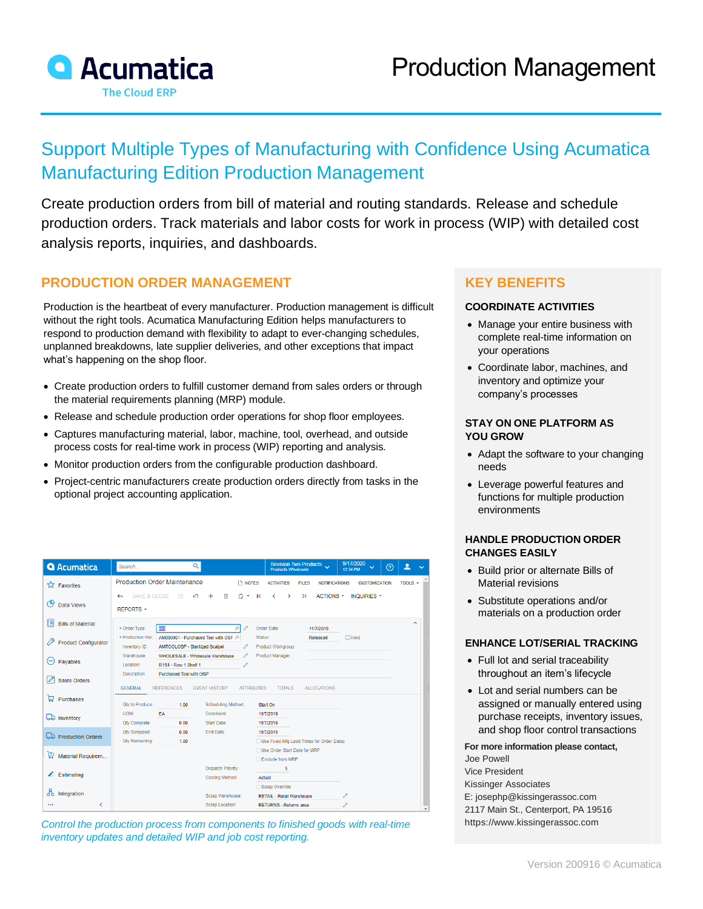

# Support Multiple Types of Manufacturing with Confidence Using Acumatica Manufacturing Edition Production Management

Create production orders from bill of material and routing standards. Release and schedule production orders. Track materials and labor costs for work in process (WIP) with detailed cost analysis reports, inquiries, and dashboards.

## **PRODUCTION ORDER MANAGEMENT**

Production is the heartbeat of every manufacturer. Production management is difficult without the right tools. Acumatica Manufacturing Edition helps manufacturers to respond to production demand with flexibility to adapt to ever-changing schedules, unplanned breakdowns, late supplier deliveries, and other exceptions that impact what's happening on the shop floor.

- Create production orders to fulfill customer demand from sales orders or through the material requirements planning (MRP) module.
- Release and schedule production order operations for shop floor employees.
- Captures manufacturing material, labor, machine, tool, overhead, and outside process costs for real-time work in process (WIP) reporting and analysis.
- Monitor production orders from the configurable production dashboard.
- Project-centric manufacturers create production orders directly from tasks in the optional project accounting application.

| <b>Q</b> Acumatica                | Search                                                                                      | Q                                                                                      | Revision Two Products<br>Products Wholesale                       | 9/17/2020<br>$\odot$<br>$\checkmark$<br>12:34 PM | ≗<br>$\ddotmark$         |
|-----------------------------------|---------------------------------------------------------------------------------------------|----------------------------------------------------------------------------------------|-------------------------------------------------------------------|--------------------------------------------------|--------------------------|
| <b>X</b> Favorites                | <b>Production Order Maintenance</b>                                                         | <b>T</b> NOTES                                                                         | <b>ACTIVITIES</b><br><b>FILES</b><br><b>NOTIFICATIONS</b>         | <b>CUSTOMIZATION</b>                             | TOOLS $\sim$             |
| ረት<br>Data Views                  | SAVE & CLOSE<br>$\begin{bmatrix} 1 & 0 \\ 0 & 1 \end{bmatrix}$<br>$\leftarrow$<br>REPORTS - | 偷<br>↶<br>n<br>K                                                                       | $\geq$<br>ACTIONS *<br>∢<br>$\rightarrow$                         | <b>INQUIRIES *</b>                               |                          |
| 별<br><b>Bills of Material</b>     | <b>RO</b><br>* Order Type:                                                                  | Q<br>0                                                                                 | Order Date:<br>11/7/2019                                          |                                                  | $\overline{\phantom{a}}$ |
| 19<br><b>Product Configurator</b> | * Production Nbr.<br>Inventory ID:                                                          | AM000001 - Purchased Tool with OSF Q<br>Status:<br>AMTOOLOSP - Sterilized Scalpel<br>0 | Released<br>Product Workgroup:                                    | $\Box$ Hold                                      |                          |
| $\left( -\right)$<br>Payables     | Warehouse:<br>Location:<br>R1S1 - Row 1 Shelf 1                                             | WHOI ESALE - Wholesale Warehouse<br>0<br>/)                                            | Product Manager:                                                  |                                                  |                          |
| Sales Orders                      | Description:<br>Purchased Tool with OSP<br><b>GENERAL</b><br><b>REFERENCES</b>              | <b>EVENT HISTORY</b><br><b>ATTRIBUTES</b>                                              | <b>TOTALS</b><br><b>ALLOCATIONS</b>                               |                                                  |                          |
| ᇦ<br>Purchases                    | <b>Qty to Produce:</b><br>1.00                                                              | Scheduling Method:                                                                     | Start On                                                          |                                                  |                          |
| <b>LD</b> Inventory               | UOM:<br>EA<br>0.00<br><b>Qty Complete:</b>                                                  | <b>Constraint:</b><br>Start Date:                                                      | 11/7/2019<br>11/7/2019                                            |                                                  |                          |
| Production Orders                 | <b>Qty Scrapped:</b><br>0.00<br><b>Qty Remaining:</b><br>1.00                               | End Date:                                                                              | 11/7/2019<br>Use Fixed Mfg Lead Times for Order Dates             |                                                  |                          |
| ₩<br>Material Requirem            |                                                                                             |                                                                                        | Use Order Start Date for MRP<br>Exclude from MRP                  |                                                  |                          |
| Estimating<br>z.                  |                                                                                             | <b>Dispatch Priority:</b><br><b>Costing Method:</b><br>Actual                          | 5                                                                 |                                                  |                          |
| ፚ<br>Integration                  |                                                                                             |                                                                                        | Scrap Override                                                    |                                                  |                          |
| ←<br>                             |                                                                                             | Scrap Warehouse:<br>Scrap Location:                                                    | <b>RETAIL - Retail Warehouse</b><br><b>RETURNS - Returns area</b> | 0<br>0                                           |                          |

*Control the production process from components to finished goods with real-time inventory updates and detailed WIP and job cost reporting.*

## **KEY BENEFITS**

#### **COORDINATE ACTIVITIES**

- Manage your entire business with complete real-time information on your operations
- Coordinate labor, machines, and inventory and optimize your company's processes

#### **STAY ON ONE PLATFORM AS YOU GROW**

- Adapt the software to your changing needs
- Leverage powerful features and functions for multiple production environments

#### **HANDLE PRODUCTION ORDER CHANGES EASILY**

- Build prior or alternate Bills of Material revisions
- Substitute operations and/or materials on a production order

### **ENHANCE LOT/SERIAL TRACKING**

- Full lot and serial traceability throughout an item's lifecycle
- Lot and serial numbers can be assigned or manually entered using purchase receipts, inventory issues, and shop floor control transactions

#### **For more information please contact,**

Joe Powell Vice President Kissinger Associates [E: josephp@kissingerassoc.com](mailto:josephp@kissingerassoc.com) 2117 Main St., Centerport, PA 19516 [https://www.kissingerassoc.com](https://www.kissingerassoc.com/)